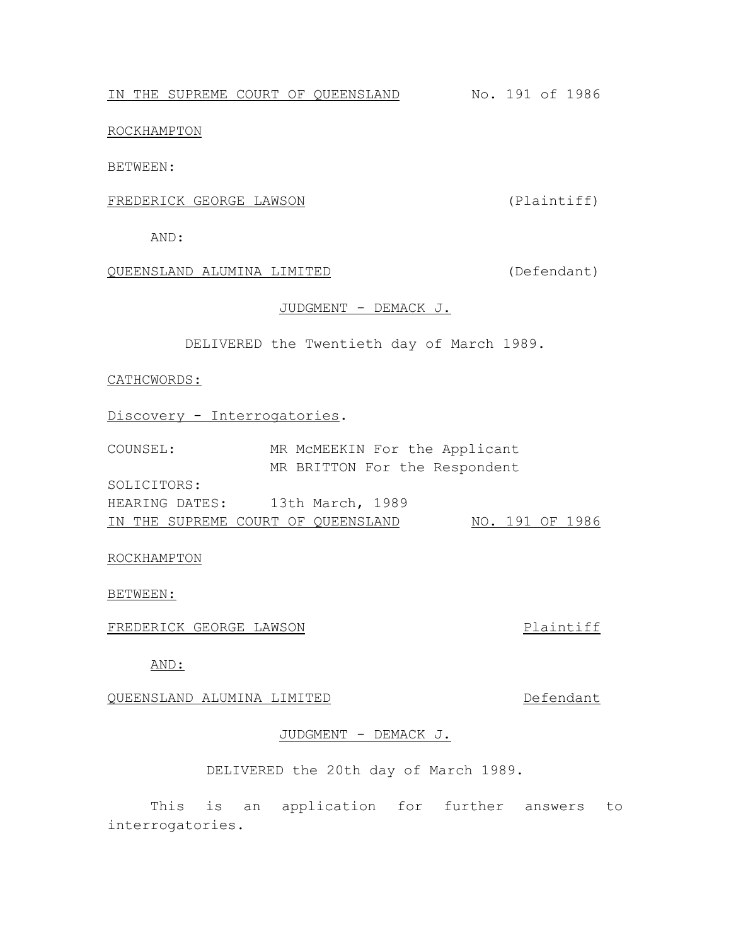IN THE SUPREME COURT OF QUEENSLAND No. 191 of 1986

ROCKHAMPTON

BETWEEN:

## FREDERICK GEORGE LAWSON (Plaintiff)

AND:

QUEENSLAND ALUMINA LIMITED (Defendant)

# JUDGMENT - DEMACK J.

DELIVERED the Twentieth day of March 1989.

#### CATHCWORDS:

Discovery - Interrogatories.

| COUNSEL:    | MR MCMEEKIN For the Applicant      |                 |  |
|-------------|------------------------------------|-----------------|--|
|             | MR BRITTON For the Respondent      |                 |  |
| SOLICITORS: |                                    |                 |  |
|             | HEARING DATES: 13th March, 1989    |                 |  |
|             | IN THE SUPREME COURT OF QUEENSLAND | NO. 191 OF 1986 |  |

### ROCKHAMPTON

BETWEEN:

FREDERICK GEORGE LAWSON **Plaintiff** 

AND:

QUEENSLAND ALUMINA LIMITED DEFENDANT

# JUDGMENT - DEMACK J.

DELIVERED the 20th day of March 1989.

This is an application for further answers to interrogatories.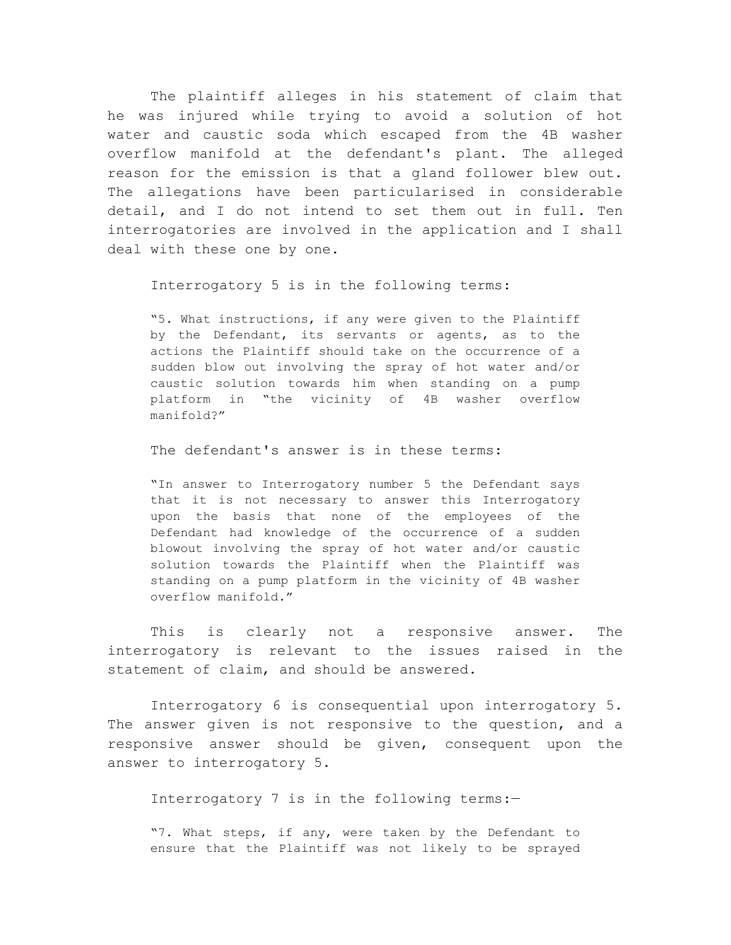The plaintiff alleges in his statement of claim that he was injured while trying to avoid a solution of hot water and caustic soda which escaped from the 4B washer overflow manifold at the defendant's plant. The alleged reason for the emission is that a gland follower blew out. The allegations have been particularised in considerable detail, and I do not intend to set them out in full. Ten interrogatories are involved in the application and I shall deal with these one by one.

Interrogatory 5 is in the following terms:

"5. What instructions, if any were given to the Plaintiff by the Defendant, its servants or agents, as to the actions the Plaintiff should take on the occurrence of a sudden blow out involving the spray of hot water and/or caustic solution towards him when standing on a pump platform in "the vicinity of 4B washer overflow manifold?"

The defendant's answer is in these terms:

"In answer to Interrogatory number 5 the Defendant says that it is not necessary to answer this Interrogatory upon the basis that none of the employees of the Defendant had knowledge of the occurrence of a sudden blowout involving the spray of hot water and/or caustic solution towards the Plaintiff when the Plaintiff was standing on a pump platform in the vicinity of 4B washer overflow manifold."

This is clearly not a responsive answer. The interrogatory is relevant to the issues raised in the statement of claim, and should be answered.

Interrogatory 6 is consequential upon interrogatory 5. The answer given is not responsive to the question, and a responsive answer should be given, consequent upon the answer to interrogatory 5.

Interrogatory 7 is in the following terms:—

"7. What steps, if any, were taken by the Defendant to ensure that the Plaintiff was not likely to be sprayed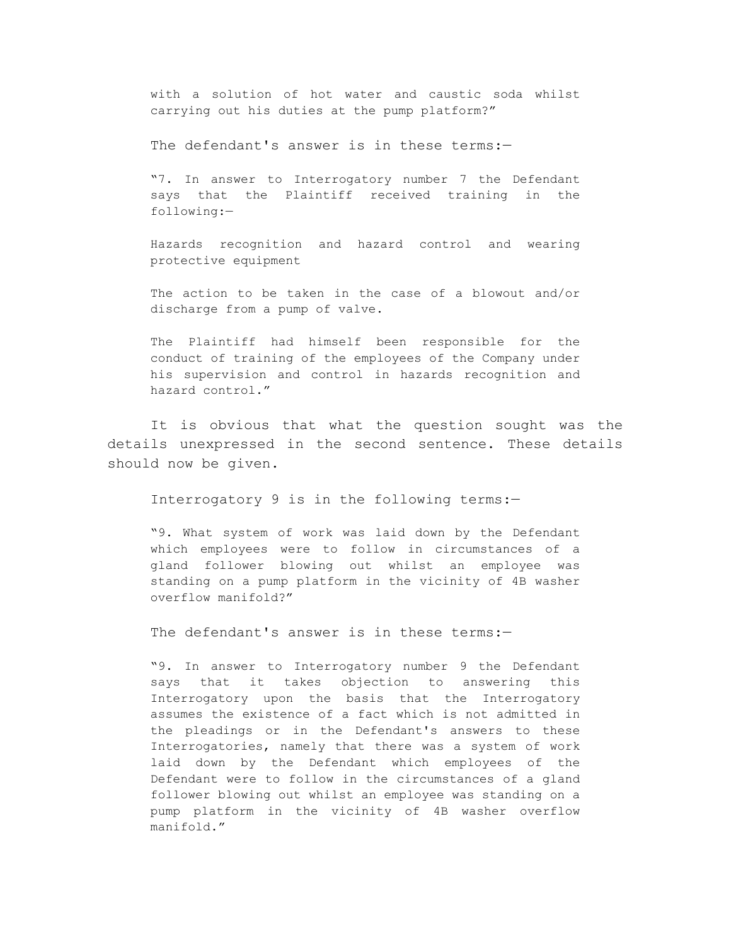with a solution of hot water and caustic soda whilst carrying out his duties at the pump platform?"

The defendant's answer is in these terms:-

"7. In answer to Interrogatory number 7 the Defendant says that the Plaintiff received training in the following:—

Hazards recognition and hazard control and wearing protective equipment

The action to be taken in the case of a blowout and/or discharge from a pump of valve.

The Plaintiff had himself been responsible for the conduct of training of the employees of the Company under his supervision and control in hazards recognition and hazard control."

It is obvious that what the question sought was the details unexpressed in the second sentence. These details should now be given.

Interrogatory 9 is in the following terms:—

"9. What system of work was laid down by the Defendant which employees were to follow in circumstances of a gland follower blowing out whilst an employee was standing on a pump platform in the vicinity of 4B washer overflow manifold?"

The defendant's answer is in these terms:-

"9. In answer to Interrogatory number 9 the Defendant says that it takes objection to answering this Interrogatory upon the basis that the Interrogatory assumes the existence of a fact which is not admitted in the pleadings or in the Defendant's answers to these Interrogatories, namely that there was a system of work laid down by the Defendant which employees of the Defendant were to follow in the circumstances of a gland follower blowing out whilst an employee was standing on a pump platform in the vicinity of 4B washer overflow manifold."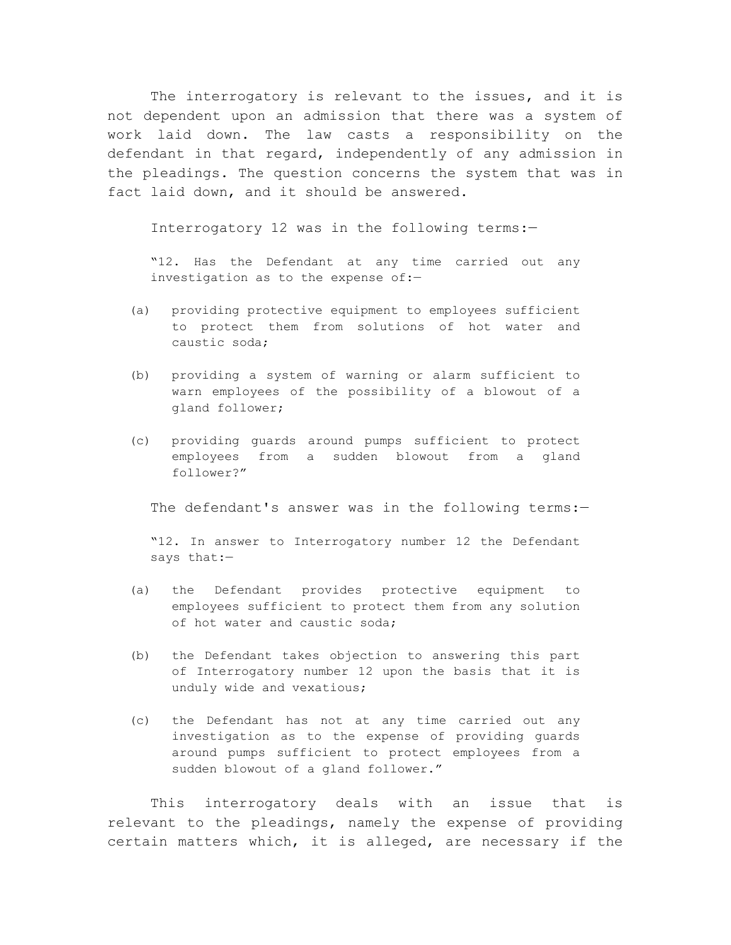The interrogatory is relevant to the issues, and it is not dependent upon an admission that there was a system of work laid down. The law casts a responsibility on the defendant in that regard, independently of any admission in the pleadings. The question concerns the system that was in fact laid down, and it should be answered.

Interrogatory 12 was in the following terms:—

"12. Has the Defendant at any time carried out any investigation as to the expense of:—

- (a) providing protective equipment to employees sufficient to protect them from solutions of hot water and caustic soda;
- (b) providing a system of warning or alarm sufficient to warn employees of the possibility of a blowout of a gland follower;
- (c) providing guards around pumps sufficient to protect employees from a sudden blowout from a gland follower?"

The defendant's answer was in the following terms:-

"12. In answer to Interrogatory number 12 the Defendant says that:—

- (a) the Defendant provides protective equipment to employees sufficient to protect them from any solution of hot water and caustic soda;
- (b) the Defendant takes objection to answering this part of Interrogatory number 12 upon the basis that it is unduly wide and vexatious;
- (c) the Defendant has not at any time carried out any investigation as to the expense of providing guards around pumps sufficient to protect employees from a sudden blowout of a gland follower."

This interrogatory deals with an issue that is relevant to the pleadings, namely the expense of providing certain matters which, it is alleged, are necessary if the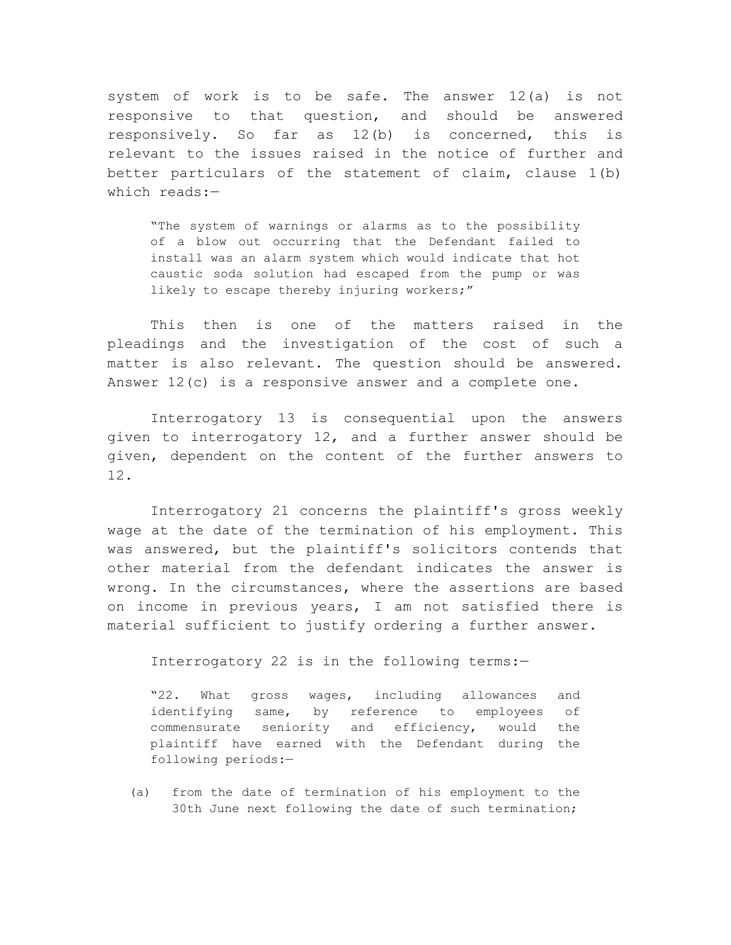system of work is to be safe. The answer 12(a) is not responsive to that question, and should be answered responsively. So far as 12(b) is concerned, this is relevant to the issues raised in the notice of further and better particulars of the statement of claim, clause 1(b) which reads:—

"The system of warnings or alarms as to the possibility of a blow out occurring that the Defendant failed to install was an alarm system which would indicate that hot caustic soda solution had escaped from the pump or was likely to escape thereby injuring workers;"

This then is one of the matters raised in the pleadings and the investigation of the cost of such a matter is also relevant. The question should be answered. Answer 12(c) is a responsive answer and a complete one.

Interrogatory 13 is consequential upon the answers given to interrogatory 12, and a further answer should be given, dependent on the content of the further answers to 12.

Interrogatory 21 concerns the plaintiff's gross weekly wage at the date of the termination of his employment. This was answered, but the plaintiff's solicitors contends that other material from the defendant indicates the answer is wrong. In the circumstances, where the assertions are based on income in previous years, I am not satisfied there is material sufficient to justify ordering a further answer.

Interrogatory 22 is in the following terms:—

"22. What gross wages, including allowances and identifying same, by reference to employees of commensurate seniority and efficiency, would the plaintiff have earned with the Defendant during the following periods:—

(a) from the date of termination of his employment to the 30th June next following the date of such termination;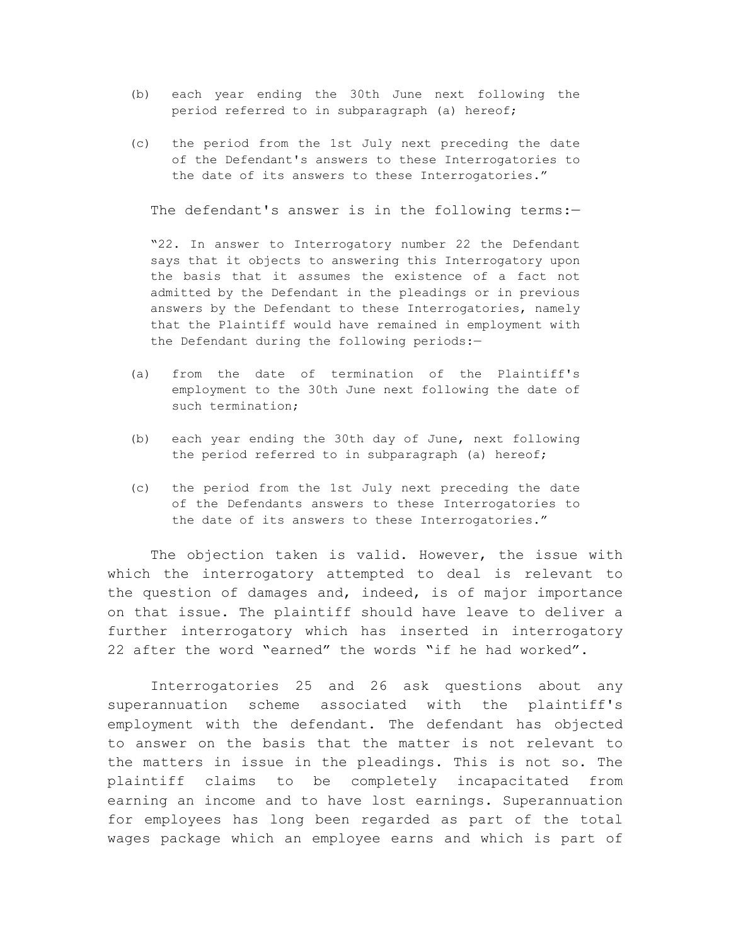- (b) each year ending the 30th June next following the period referred to in subparagraph (a) hereof;
- (c) the period from the 1st July next preceding the date of the Defendant's answers to these Interrogatories to the date of its answers to these Interrogatories."

The defendant's answer is in the following terms:-

"22. In answer to Interrogatory number 22 the Defendant says that it objects to answering this Interrogatory upon the basis that it assumes the existence of a fact not admitted by the Defendant in the pleadings or in previous answers by the Defendant to these Interrogatories, namely that the Plaintiff would have remained in employment with the Defendant during the following periods:-

- (a) from the date of termination of the Plaintiff's employment to the 30th June next following the date of such termination;
- (b) each year ending the 30th day of June, next following the period referred to in subparagraph (a) hereof;
- (c) the period from the 1st July next preceding the date of the Defendants answers to these Interrogatories to the date of its answers to these Interrogatories."

The objection taken is valid. However, the issue with which the interrogatory attempted to deal is relevant to the question of damages and, indeed, is of major importance on that issue. The plaintiff should have leave to deliver a further interrogatory which has inserted in interrogatory 22 after the word "earned" the words "if he had worked".

Interrogatories 25 and 26 ask questions about any superannuation scheme associated with the plaintiff's employment with the defendant. The defendant has objected to answer on the basis that the matter is not relevant to the matters in issue in the pleadings. This is not so. The plaintiff claims to be completely incapacitated from earning an income and to have lost earnings. Superannuation for employees has long been regarded as part of the total wages package which an employee earns and which is part of